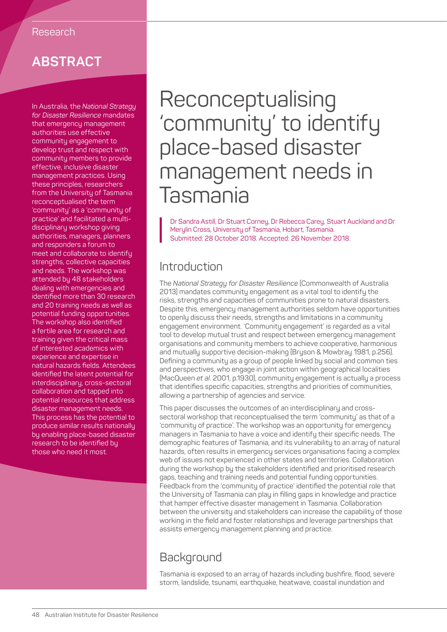# **ABSTRACT**

In Australia, the *National Strategy for Disaster Resilience* mandates that emergency management authorities use effective community engagement to develop trust and respect with community members to provide effective, inclusive disaster management practices. Using these principles, researchers from the University of Tasmania reconceptualised the term 'community' as a 'community of practice' and facilitated a multidisciplinary workshop giving authorities, managers, planners and responders a forum to meet and collaborate to identify strengths, collective capacities and needs. The workshop was attended by 48 stakeholders dealing with emergencies and identified more than 30 research and 20 training needs as well as potential funding opportunities. The workshop also identified a fertile area for research and training given the critical mass of interested academics with experience and expertise in natural hazards fields. Attendees identified the latent potential for interdisciplinary, cross-sectoral collaboration and tapped into potential resources that address disaster management needs. This process has the potential to produce similar results nationally by enabling place-based disaster research to be identified by those who need it most.

# Reconceptualising 'community' to identify place-based disaster management needs in Tasmania

Dr Sandra Astill, Dr Stuart Corney, Dr Rebecca Carey, Stuart Auckland and Dr Merylin Cross, University of Tasmania, Hobart, Tasmania. Submitted: 28 October 2018. Accepted: 26 November 2018.

# Introduction

The *National Strategy for Disaster Resilience* (Commonwealth of Australia 2013) mandates community engagement as a vital tool to identify the risks, strengths and capacities of communities prone to natural disasters. Despite this, emergency management authorities seldom have opportunities to openly discuss their needs, strengths and limitations in a community engagement environment. 'Community engagement' is regarded as a vital tool to develop mutual trust and respect between emergency management organisations and community members to achieve cooperative, harmonious and mutually supportive decision-making (Bryson & Mowbray 1981, p.256). Defining a community as a group of people linked by social and common ties and perspectives, who engage in joint action within geographical localities (MacQueen *et al*. 2001, p.1930), community engagement is actually a process that identifies specific capacities, strengths and priorities of communities, allowing a partnership of agencies and service.

This paper discusses the outcomes of an interdisciplinary and crosssectoral workshop that reconceptualised the term 'community' as that of a 'community of practice'. The workshop was an opportunity for emergency managers in Tasmania to have a voice and identify their specific needs. The demographic features of Tasmania, and its vulnerability to an array of natural hazards, often results in emergency services organisations facing a complex web of issues not experienced in other states and territories. Collaboration during the workshop by the stakeholders identified and prioritised research gaps, teaching and training needs and potential funding opportunities. Feedback from the 'community of practice' identified the potential role that the University of Tasmania can play in filling gaps in knowledge and practice that hamper effective disaster management in Tasmania. Collaboration between the university and stakeholders can increase the capability of those working in the field and foster relationships and leverage partnerships that assists emergency management planning and practice.

# **Background**

Tasmania is exposed to an array of hazards including bushfire, flood, severe storm, landslide, tsunami, earthquake, heatwave, coastal inundation and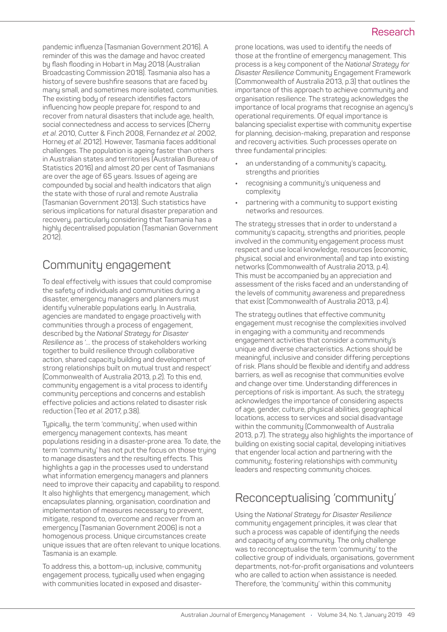pandemic influenza (Tasmanian Government 2016). A reminder of this was the damage and havoc created by flash flooding in Hobart in May 2018 (Australian Broadcasting Commission 2018). Tasmania also has a history of severe bushfire seasons that are faced by many small, and sometimes more isolated, communities. The existing body of research identifies factors influencing how people prepare for, respond to and recover from natural disasters that include age, health, social connectedness and access to services (Cherry *et al*. 2010, Cutter & Finch 2008, Fernandez *et al*. 2002, Horney *et al*. 2012). However, Tasmania faces additional challenges. The population is ageing faster than others in Australian states and territories (Australian Bureau of Statistics 2016) and almost 20 per cent of Tasmanians are over the age of 65 years. Issues of ageing are compounded by social and health indicators that align the state with those of rural and remote Australia (Tasmanian Government 2013). Such statistics have serious implications for natural disaster preparation and recovery, particularly considering that Tasmania has a highly decentralised population (Tasmanian Government 2012).

## Community engagement

To deal effectively with issues that could compromise the safety of individuals and communities during a disaster, emergency managers and planners must identify vulnerable populations early. In Australia, agencies are mandated to engage proactively with communities through a process of engagement, described by the *National Strategy for Disaster Resilience* as '… the process of stakeholders working together to build resilience through collaborative action, shared capacity building and development of strong relationships built on mutual trust and respect' (Commonwealth of Australia 2013, p.2). To this end, community engagement is a vital process to identify community perceptions and concerns and establish effective policies and actions related to disaster risk reduction (Teo *et al*. 2017, p.38).

Typically, the term 'community', when used within emergency management contexts, has meant populations residing in a disaster-prone area. To date, the term 'community' has not put the focus on those trying to manage disasters and the resulting effects. This highlights a gap in the processes used to understand what information emergency managers and planners need to improve their capacity and capability to respond. It also highlights that emergency management, which encapsulates planning, organisation, coordination and implementation of measures necessary to prevent, mitigate, respond to, overcome and recover from an emergency (Tasmanian Government 2006) is not a homogenous process. Unique circumstances create unique issues that are often relevant to unique locations. Tasmania is an example.

To address this, a bottom-up, inclusive, community engagement process, typically used when engaging with communities located in exposed and disaster-

### Research

prone locations, was used to identify the needs of those at the frontline of emergency management. This process is a key component of the *National Strategy for Disaster Resilience* Community Engagement Framework (Commonwealth of Australia 2013, p.3) that outlines the importance of this approach to achieve community and organisation resilience. The strategy acknowledges the importance of local programs that recognise an agency's operational requirements. Of equal importance is balancing specialist expertise with community expertise for planning, decision-making, preparation and response and recovery activities. Such processes operate on three fundamental principles:

- **•** an understanding of a community's capacity, strengths and priorities
- **•** recognising a community's uniqueness and complexity
- **•** partnering with a community to support existing networks and resources.

The strategy stresses that in order to understand a community's capacity, strengths and priorities, people involved in the community engagement process must respect and use local knowledge, resources (economic, physical, social and environmental) and tap into existing networks (Commonwealth of Australia 2013, p.4). This must be accompanied by an appreciation and assessment of the risks faced and an understanding of the levels of community awareness and preparedness that exist (Commonwealth of Australia 2013, p.4).

The strategy outlines that effective community engagement must recognise the complexities involved in engaging with a community and recommends engagement activities that consider a community's unique and diverse characteristics. Actions should be meaningful, inclusive and consider differing perceptions of risk. Plans should be flexible and identify and address barriers, as well as recognise that communities evolve and change over time. Understanding differences in perceptions of risk is important. As such, the strategy acknowledges the importance of considering aspects of age, gender, culture, physical abilities, geographical locations, access to services and social disadvantage within the community (Commonwealth of Australia 2013, p.7). The strategy also highlights the importance of building on existing social capital, developing initiatives that engender local action and partnering with the community; fostering relationships with community leaders and respecting community choices.

# Reconceptualising 'community'

Using the *National Strategy for Disaster Resilience*  community engagement principles, it was clear that such a process was capable of identifying the needs and capacity of any community. The only challenge was to reconceptualise the term 'community' to the collective group of individuals, organisations, government departments, not-for-profit organisations and volunteers who are called to action when assistance is needed. Therefore, the 'community' within this community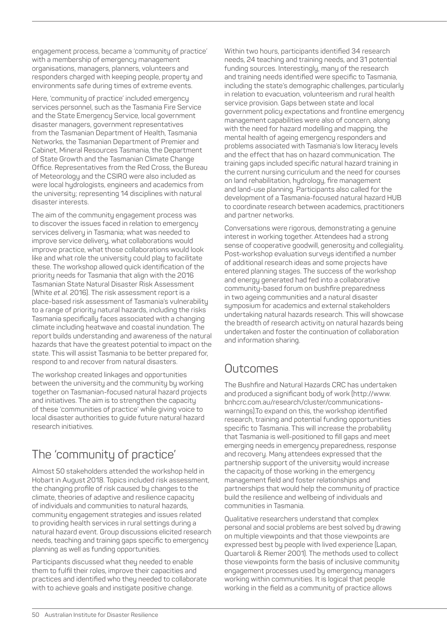engagement process, became a 'community of practice' with a membership of emergency management organisations, managers, planners, volunteers and responders charged with keeping people, property and environments safe during times of extreme events.

Here, 'community of practice' included emergency services personnel, such as the Tasmania Fire Service and the State Emergency Service, local government disaster managers, government representatives from the Tasmanian Department of Health, Tasmania Networks, the Tasmanian Department of Premier and Cabinet, Mineral Resources Tasmania, the Department of State Growth and the Tasmanian Climate Change Office. Representatives from the Red Cross, the Bureau of Meteorology and the CSIRO were also included as were local hydrologists, engineers and academics from the university; representing 14 disciplines with natural disaster interests.

The aim of the community engagement process was to discover the issues faced in relation to emergency services delivery in Tasmania; what was needed to improve service delivery, what collaborations would improve practice, what those collaborations would look like and what role the university could play to facilitate these. The workshop allowed quick identification of the priority needs for Tasmania that align with the 2016 Tasmanian State Natural Disaster Risk Assessment (White *et al*. 2016). The risk assessment report is a place-based risk assessment of Tasmania's vulnerability to a range of priority natural hazards, including the risks Tasmania specifically faces associated with a changing climate including heatwave and coastal inundation. The report builds understanding and awareness of the natural hazards that have the greatest potential to impact on the state. This will assist Tasmania to be better prepared for, respond to and recover from natural disasters.

The workshop created linkages and opportunities between the university and the community by working together on Tasmanian-focused natural hazard projects and initiatives. The aim is to strengthen the capacity of these 'communities of practice' while giving voice to local disaster authorities to guide future natural hazard research initiatives.

# The 'community of practice'

Almost 50 stakeholders attended the workshop held in Hobart in August 2018. Topics included risk assessment, the changing profile of risk caused by changes to the climate, theories of adaptive and resilience capacity of individuals and communities to natural hazards, community engagement strategies and issues related to providing health services in rural settings during a natural hazard event. Group discussions elicited research needs, teaching and training gaps specific to emergency planning as well as funding opportunities.

Participants discussed what they needed to enable them to fulfil their roles, improve their capacities and practices and identified who they needed to collaborate with to achieve goals and instigate positive change.

Within two hours, participants identified 34 research needs, 24 teaching and training needs, and 31 potential funding sources. Interestingly, many of the research and training needs identified were specific to Tasmania, including the state's demographic challenges, particularly in relation to evacuation, volunteerism and rural health service provision. Gaps between state and local government policy expectations and frontline emergency management capabilities were also of concern, along with the need for hazard modelling and mapping, the mental health of ageing emergency responders and problems associated with Tasmania's low literacy levels and the effect that has on hazard communication. The training gaps included specific natural hazard training in the current nursing curriculum and the need for courses on land rehabilitation, hydrology, fire management and land-use planning. Participants also called for the development of a Tasmania-focused natural hazard HUB to coordinate research between academics, practitioners and partner networks.

Conversations were rigorous, demonstrating a genuine interest in working together. Attendees had a strong sense of cooperative goodwill, generosity and collegiality. Post-workshop evaluation surveys identified a number of additional research ideas and some projects have entered planning stages. The success of the workshop and energy generated had fed into a collaborative community-based forum on bushfire preparedness in two ageing communities and a natural disaster symposium for academics and external stakeholders undertaking natural hazards research. This will showcase the breadth of research activity on natural hazards being undertaken and foster the continuation of collaboration and information sharing.

### **Outcomes**

The Bushfire and Natural Hazards CRC has undertaken and produced a significant body of work (http://www. bnhcrc.com.au/research/cluster/communicationswarnings).To expand on this, the workshop identified research, training and potential funding opportunities specific to Tasmania. This will increase the probability that Tasmania is well-positioned to fill gaps and meet emerging needs in emergency preparedness, response and recovery. Many attendees expressed that the partnership support of the university would increase the capacity of those working in the emergency management field and foster relationships and partnerships that would help the community of practice build the resilience and wellbeing of individuals and communities in Tasmania.

Qualitative researchers understand that complex personal and social problems are best solved by drawing on multiple viewpoints and that those viewpoints are expressed best by people with lived experience (Lapan, Quartaroli & Riemer 2001). The methods used to collect those viewpoints form the basis of inclusive community engagement processes used by emergency managers working within communities. It is logical that people working in the field as a community of practice allows